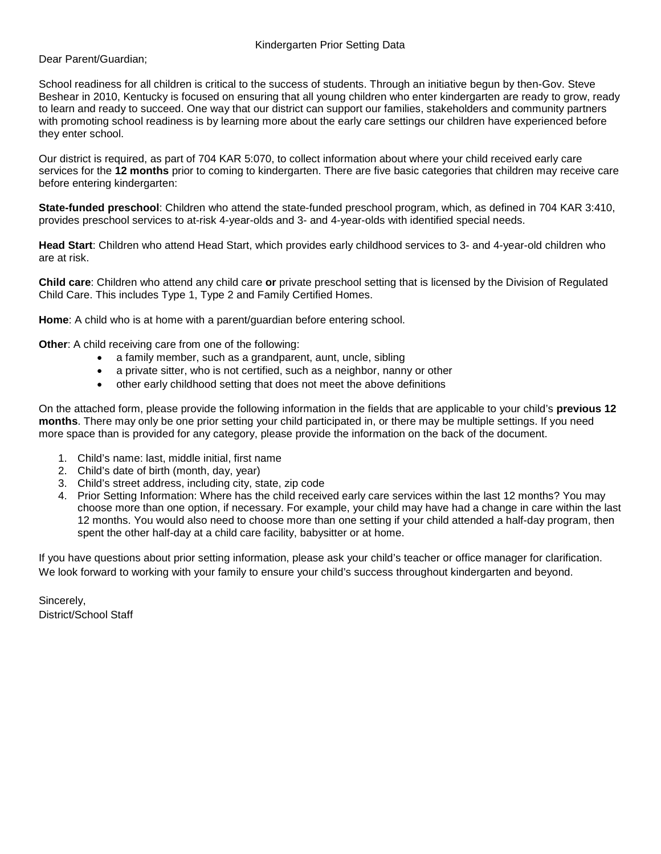## Kindergarten Prior Setting Data

Dear Parent/Guardian;

School readiness for all children is critical to the success of students. Through an initiative begun by then-Gov. Steve Beshear in 2010, Kentucky is focused on ensuring that all young children who enter kindergarten are ready to grow, ready to learn and ready to succeed. One way that our district can support our families, stakeholders and community partners with promoting school readiness is by learning more about the early care settings our children have experienced before they enter school.

Our district is required, as part of 704 KAR 5:070, to collect information about where your child received early care services for the **12 months** prior to coming to kindergarten. There are five basic categories that children may receive care before entering kindergarten:

**State-funded preschool**: Children who attend the state-funded preschool program, which, as defined in 704 KAR 3:410, provides preschool services to at-risk 4-year-olds and 3- and 4-year-olds with identified special needs.

**Head Start**: Children who attend Head Start, which provides early childhood services to 3- and 4-year-old children who are at risk.

**Child care**: Children who attend any child care **or** private preschool setting that is licensed by the Division of Regulated Child Care. This includes Type 1, Type 2 and Family Certified Homes.

**Home**: A child who is at home with a parent/guardian before entering school.

**Other**: A child receiving care from one of the following:

- a family member, such as a grandparent, aunt, uncle, sibling
- a private sitter, who is not certified, such as a neighbor, nanny or other
- other early childhood setting that does not meet the above definitions

On the attached form, please provide the following information in the fields that are applicable to your child's **previous 12 months**. There may only be one prior setting your child participated in, or there may be multiple settings. If you need more space than is provided for any category, please provide the information on the back of the document.

- 1. Child's name: last, middle initial, first name
- 2. Child's date of birth (month, day, year)
- 3. Child's street address, including city, state, zip code
- 4. Prior Setting Information: Where has the child received early care services within the last 12 months? You may choose more than one option, if necessary. For example, your child may have had a change in care within the last 12 months. You would also need to choose more than one setting if your child attended a half-day program, then spent the other half-day at a child care facility, babysitter or at home.

If you have questions about prior setting information, please ask your child's teacher or office manager for clarification. We look forward to working with your family to ensure your child's success throughout kindergarten and beyond.

Sincerely, District/School Staff